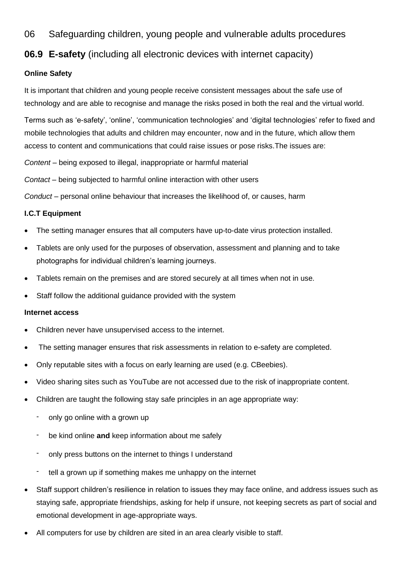06 Safeguarding children, young people and vulnerable adults procedures

# **06.9 E-safety** (including all electronic devices with internet capacity)

## **Online Safety**

It is important that children and young people receive consistent messages about the safe use of technology and are able to recognise and manage the risks posed in both the real and the virtual world.

Terms such as 'e-safety', 'online', 'communication technologies' and 'digital technologies' refer to fixed and mobile technologies that adults and children may encounter, now and in the future, which allow them access to content and communications that could raise issues or pose risks.The issues are:

*Content* – being exposed to illegal, inappropriate or harmful material

*Contact* – being subjected to harmful online interaction with other users

*Conduct* – personal online behaviour that increases the likelihood of, or causes, harm

# **I.C.T Equipment**

- The setting manager ensures that all computers have up-to-date virus protection installed.
- Tablets are only used for the purposes of observation, assessment and planning and to take photographs for individual children's learning journeys.
- Tablets remain on the premises and are stored securely at all times when not in use.
- Staff follow the additional guidance provided with the system

## **Internet access**

- Children never have unsupervised access to the internet.
- The setting manager ensures that risk assessments in relation to e-safety are completed.
- Only reputable sites with a focus on early learning are used (e.g. CBeebies).
- Video sharing sites such as YouTube are not accessed due to the risk of inappropriate content.
- Children are taught the following stay safe principles in an age appropriate way:
	- only go online with a grown up
	- be kind online and keep information about me safely
	- only press buttons on the internet to things I understand
	- tell a grown up if something makes me unhappy on the internet
- Staff support children's resilience in relation to issues they may face online, and address issues such as staying safe, appropriate friendships, asking for help if unsure, not keeping secrets as part of social and emotional development in age-appropriate ways.
- All computers for use by children are sited in an area clearly visible to staff.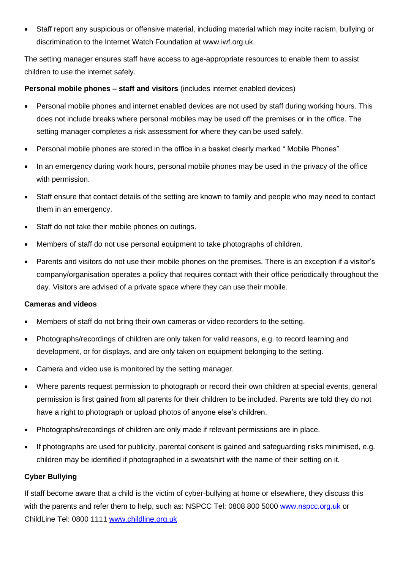• Staff report any suspicious or offensive material, including material which may incite racism, bullying or discrimination to the Internet Watch Foundation at [www.iwf.org.uk.](http://www.iwf.org.uk/)

The setting manager ensures staff have access to age-appropriate resources to enable them to assist children to use the internet safely.

#### **Personal mobile phones – staff and visitors** (includes internet enabled devices)

- Personal mobile phones and internet enabled devices are not used by staff during working hours. This does not include breaks where personal mobiles may be used off the premises or in the office. The setting manager completes a risk assessment for where they can be used safely.
- Personal mobile phones are stored in the office in a basket clearly marked " Mobile Phones".
- In an emergency during work hours, personal mobile phones may be used in the privacy of the office with permission.
- Staff ensure that contact details of the setting are known to family and people who may need to contact them in an emergency.
- Staff do not take their mobile phones on outings.
- Members of staff do not use personal equipment to take photographs of children.
- Parents and visitors do not use their mobile phones on the premises. There is an exception if a visitor's company/organisation operates a policy that requires contact with their office periodically throughout the day. Visitors are advised of a private space where they can use their mobile.

#### **Cameras and videos**

- Members of staff do not bring their own cameras or video recorders to the setting.
- Photographs/recordings of children are only taken for valid reasons, e.g. to record learning and development, or for displays, and are only taken on equipment belonging to the setting.
- Camera and video use is monitored by the setting manager.
- Where parents request permission to photograph or record their own children at special events, general permission is first gained from all parents for their children to be included. Parents are told they do not have a right to photograph or upload photos of anyone else's children.
- Photographs/recordings of children are only made if relevant permissions are in place.
- If photographs are used for publicity, parental consent is gained and safeguarding risks minimised, e.g. children may be identified if photographed in a sweatshirt with the name of their setting on it.

## **Cyber Bullying**

If staff become aware that a child is the victim of cyber-bullying at home or elsewhere, they discuss this with the parents and refer them to help, such as: NSPCC Tel: 0808 800 5000 [www.nspcc.org.uk](http://www.nspcc.org.uk/) or ChildLine Tel: 0800 1111 [www.childline.org.uk](http://www.childline.org.uk/)